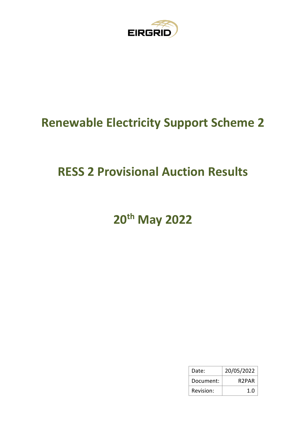

## **Renewable Electricity Support Scheme 2**

## **RESS 2 Provisional Auction Results**

# **20th May 2022**

| Date:     | 20/05/2022         |
|-----------|--------------------|
| Document: | R <sub>2</sub> PAR |
| Revision: | 1.0                |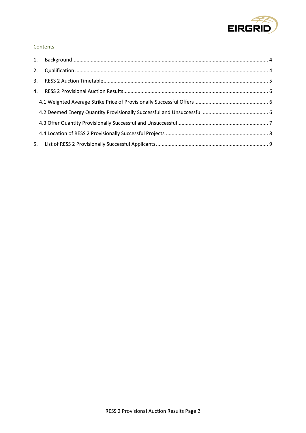

#### Contents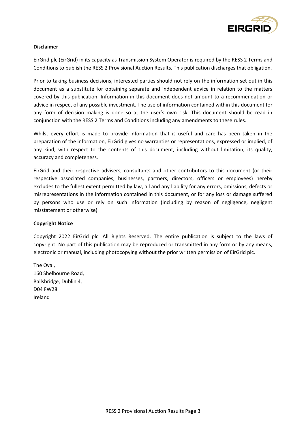

#### **Disclaimer**

EirGrid plc (EirGrid) in its capacity as Transmission System Operator is required by the RESS 2 Terms and Conditions to publish the RESS 2 Provisional Auction Results. This publication discharges that obligation.

Prior to taking business decisions, interested parties should not rely on the information set out in this document as a substitute for obtaining separate and independent advice in relation to the matters covered by this publication. Information in this document does not amount to a recommendation or advice in respect of any possible investment. The use of information contained within this document for any form of decision making is done so at the user's own risk. This document should be read in conjunction with the RESS 2 Terms and Conditions including any amendments to these rules.

Whilst every effort is made to provide information that is useful and care has been taken in the preparation of the information, EirGrid gives no warranties or representations, expressed or implied, of any kind, with respect to the contents of this document, including without limitation, its quality, accuracy and completeness.

EirGrid and their respective advisers, consultants and other contributors to this document (or their respective associated companies, businesses, partners, directors, officers or employees) hereby excludes to the fullest extent permitted by law, all and any liability for any errors, omissions, defects or misrepresentations in the information contained in this document, or for any loss or damage suffered by persons who use or rely on such information (including by reason of negligence, negligent misstatement or otherwise).

#### **Copyright Notice**

Copyright 2022 EirGrid plc. All Rights Reserved. The entire publication is subject to the laws of copyright. No part of this publication may be reproduced or transmitted in any form or by any means, electronic or manual, including photocopying without the prior written permission of EirGrid plc.

The Oval, 160 Shelbourne Road, Ballsbridge, Dublin 4, D04 FW28 Ireland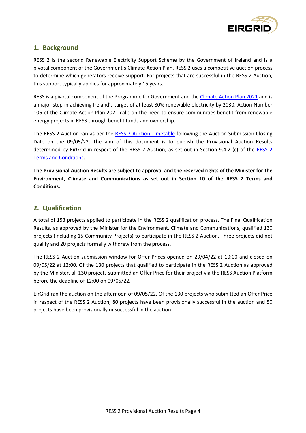

## <span id="page-3-0"></span>**1. Background**

RESS 2 is the second Renewable Electricity Support Scheme by the Government of Ireland and is a pivotal component of the Government's Climate Action Plan. RESS 2 uses a competitive auction process to determine which generators receive support. For projects that are successful in the RESS 2 Auction, this support typically applies for approximately 15 years.

RESS is a pivotal component of the Programme for Government and the [Climate Action Plan 2021](https://www.gov.ie/en/publication/6223e-climate-action-plan-2021/) and is a major step in achieving Ireland's target of at least 80% renewable electricity by 2030. Action Number 106 of the Climate Action Plan 2021 calls on the need to ensure communities benefit from renewable energy projects in RESS through benefit funds and ownership.

The RESS 2 Auction ran as per the RESS 2 [Auction Timetable](http://www.eirgridgroup.com/site-files/library/EirGrid/RESS-2-Auction-Timetable-(R2AT).pdf) following the Auction Submission Closing Date on the 09/05/22. The aim of this document is to publish the Provisional Auction Results determined by EirGrid in respect of the RESS 2 Auction, as set out in Section 9.4.2 (c) of the [RESS 2](https://www.gov.ie/en/publication/7f0bb-renewable-electricity-support-scheme-2-ress-2/?msclkid=bedb6155d04211eca0dba8a1a927b49e) [Terms and Conditions.](https://www.gov.ie/en/publication/7f0bb-renewable-electricity-support-scheme-2-ress-2/?msclkid=bedb6155d04211eca0dba8a1a927b49e)

**The Provisional Auction Results are subject to approval and the reserved rights of the Minister for the Environment, Climate and Communications as set out in Section 10 of the RESS 2 Terms and Conditions.**

### <span id="page-3-1"></span>**2. Qualification**

A total of 153 projects applied to participate in the RESS 2 qualification process. The Final Qualification Results, as approved by the Minister for the Environment, Climate and Communications, qualified 130 projects (including 15 Community Projects) to participate in the RESS 2 Auction. Three projects did not qualify and 20 projects formally withdrew from the process.

The RESS 2 Auction submission window for Offer Prices opened on 29/04/22 at 10:00 and closed on 09/05/22 at 12:00. Of the 130 projects that qualified to participate in the RESS 2 Auction as approved by the Minister, all 130 projects submitted an Offer Price for their project via the RESS Auction Platform before the deadline of 12:00 on 09/05/22.

EirGrid ran the auction on the afternoon of 09/05/22. Of the 130 projects who submitted an Offer Price in respect of the RESS 2 Auction, 80 projects have been provisionally successful in the auction and 50 projects have been provisionally unsuccessful in the auction.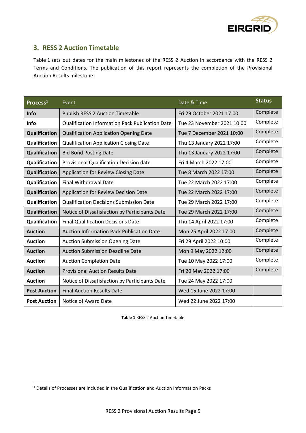

## <span id="page-4-0"></span>**3. RESS 2 Auction Timetable**

Table 1 sets out dates for the main milestones of the RESS 2 Auction in accordance with the RESS 2 Terms and Conditions. The publication of this report represents the completion of the Provisional Auction Results milestone.

| Process <sup>1</sup> | Date & Time<br>Event                                   |                            | <b>Status</b> |
|----------------------|--------------------------------------------------------|----------------------------|---------------|
| <b>Info</b>          | <b>Publish RESS 2 Auction Timetable</b>                | Fri 29 October 2021 17:00  | Complete      |
| <b>Info</b>          | <b>Qualification Information Pack Publication Date</b> | Tue 23 November 2021 10:00 | Complete      |
| Qualification        | <b>Qualification Application Opening Date</b>          | Tue 7 December 2021 10:00  | Complete      |
| Qualification        | <b>Qualification Application Closing Date</b>          | Thu 13 January 2022 17:00  | Complete      |
| <b>Qualification</b> | <b>Bid Bond Posting Date</b>                           | Thu 13 January 2022 17:00  | Complete      |
| Qualification        | <b>Provisional Qualification Decision date</b>         | Fri 4 March 2022 17:00     | Complete      |
| Qualification        | Application for Review Closing Date                    | Tue 8 March 2022 17:00     | Complete      |
| Qualification        | <b>Final Withdrawal Date</b>                           | Tue 22 March 2022 17:00    | Complete      |
| Qualification        | Application for Review Decision Date                   | Tue 22 March 2022 17:00    | Complete      |
| Qualification        | <b>Qualification Decisions Submission Date</b>         | Tue 29 March 2022 17:00    | Complete      |
| Qualification        | Notice of Dissatisfaction by Participants Date         | Tue 29 March 2022 17:00    | Complete      |
| Qualification        | <b>Final Qualification Decisions Date</b>              | Thu 14 April 2022 17:00    | Complete      |
| <b>Auction</b>       | <b>Auction Information Pack Publication Date</b>       | Mon 25 April 2022 17:00    | Complete      |
| <b>Auction</b>       | <b>Auction Submission Opening Date</b>                 | Fri 29 April 2022 10:00    | Complete      |
| <b>Auction</b>       | <b>Auction Submission Deadline Date</b>                | Mon 9 May 2022 12:00       | Complete      |
| <b>Auction</b>       | <b>Auction Completion Date</b>                         | Tue 10 May 2022 17:00      | Complete      |
| <b>Auction</b>       | <b>Provisional Auction Results Date</b>                | Fri 20 May 2022 17:00      | Complete      |
| <b>Auction</b>       | Notice of Dissatisfaction by Participants Date         | Tue 24 May 2022 17:00      |               |
| <b>Post Auction</b>  | <b>Final Auction Results Date</b>                      | Wed 15 June 2022 17:00     |               |
| <b>Post Auction</b>  | Notice of Award Date                                   | Wed 22 June 2022 17:00     |               |

**Table 1** RESS 2 Auction Timetable

<sup>1</sup> Details of Processes are included in the Qualification and Auction Information Packs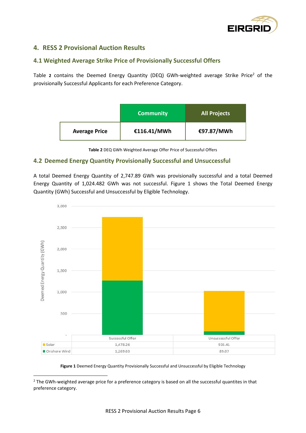

## <span id="page-5-0"></span>**4. RESS 2 Provisional Auction Results**

#### <span id="page-5-1"></span>**4.1 Weighted Average Strike Price of Provisionally Successful Offer[s](#page-5-3)**

[Table](#page-5-3) 2 contains the Deemed Energy Quantity (DEQ) GWh-weighted average Strike Price<sup>2</sup> of the provisionally Successful Applicants for each Preference Category.

|                      | <b>Community</b> | <b>All Projects</b> |
|----------------------|------------------|---------------------|
| <b>Average Price</b> | €116.41/MWh      | €97.87/MWh          |

**Table 2** DEQ GWh Weighted Average Offer Price of Successful Offers

#### <span id="page-5-3"></span><span id="page-5-2"></span>**4.2 Deemed Energy Quantity Provisionally Successful and Unsuccessful**

A total Deemed Energy Quantity of 2,747.89 GWh was provisionally successful and a total Deemed Energy Quantity of 1,024.482 GWh was not successful. [Figure 1](#page-5-4) shows the Total Deemed Energy Quantity (GWh) Successful and Unsuccessful by Eligible Technology.



**Figure 1** Deemed Energy Quantity Provisionally Successful and Unsuccessful by Eligible Technology

<span id="page-5-4"></span><sup>2</sup> The GWh-weighted average price for a preference category is based on all the successful quantites in that preference category.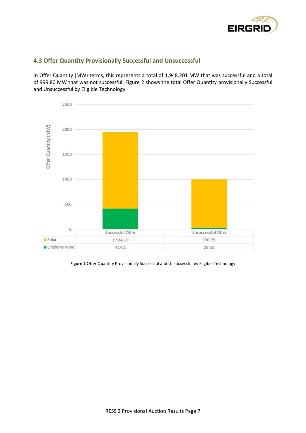

### <span id="page-6-0"></span>**4.3 Offer Quantity Provisionally Successful and Unsuccessful**

In Offer Quantity (MW) terms, this represents a total of 1,948.201 MW that was successful and a total of 999.80 MW that was not successful. [Figure 2](#page-6-1) shows the total Offer Quantity provisionally Successful and Unsuccessful by Eligible Technology.



<span id="page-6-1"></span>**Figure 2** Offer Quantity Provisionally Successful and Unsuccessful by Eligible Technology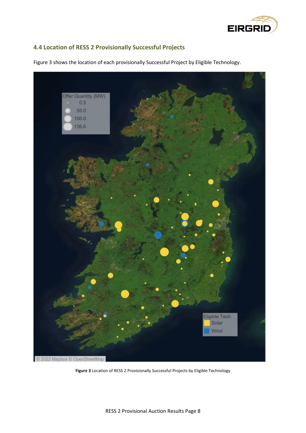

### <span id="page-7-0"></span>**4.4 Location of RESS 2 Provisionally Successful Projects**



Figure 3 shows the location of each provisionally Successful Project by Eligible Technology.

**Figure 3** Location of RESS 2 Provisionally Successful Projects by Eligible Technology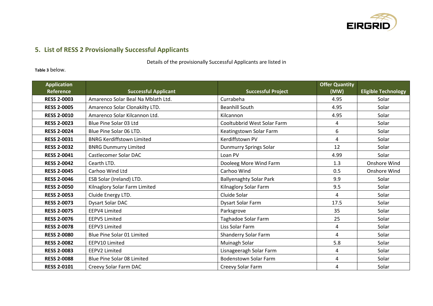

## **5. List of RESS 2 Provisionally Successful Applicants**

#### Details of the provisionally Successful Applicants are listed i[n](#page-11-0)

#### **[Table 3](#page-11-0)** below.

<span id="page-8-0"></span>

| <b>Application</b><br><b>Reference</b> | <b>Successful Applicant</b>        | <b>Successful Project</b>      | <b>Offer Quantity</b><br>(MW) | <b>Eligible Technology</b> |
|----------------------------------------|------------------------------------|--------------------------------|-------------------------------|----------------------------|
| <b>RESS 2-0003</b>                     | Amarenco Solar Beal Na Mblath Ltd. | Currabeha                      | 4.95                          | Solar                      |
| <b>RESS 2-0005</b>                     | Amarenco Solar Clonakilty LTD.     | <b>Beanhill South</b>          | 4.95                          | Solar                      |
| <b>RESS 2-0010</b>                     | Amarenco Solar Kilcannon Ltd.      | Kilcannon                      | 4.95                          | Solar                      |
| <b>RESS 2-0023</b>                     | Blue Pine Solar 03 Ltd             | Cooltubbrid West Solar Farm    | 4                             | Solar                      |
| <b>RESS 2-0024</b>                     | Blue Pine Solar 06 LTD.            | Keatingstown Solar Farm        | 6                             | Solar                      |
| <b>RESS 2-0031</b>                     | <b>BNRG Kerdiffstown Limited</b>   | Kerdiffstown PV                | 4                             | Solar                      |
| <b>RESS 2-0032</b>                     | <b>BNRG Dunmurry Limited</b>       | Dunmurry Springs Solar         | 12                            | Solar                      |
| <b>RESS 2-0041</b>                     | Castlecomer Solar DAC              | Loan PV                        | 4.99                          | Solar                      |
| <b>RESS 2-0042</b>                     | Cearth LTD.                        | Dooleeg More Wind Farm         | 1.3                           | Onshore Wind               |
| <b>RESS 2-0045</b>                     | Carhoo Wind Ltd                    | Carhoo Wind                    | 0.5                           | Onshore Wind               |
| <b>RESS 2-0046</b>                     | ESB Solar (Ireland) LTD.           | <b>Ballyenaghty Solar Park</b> | 9.9                           | Solar                      |
| <b>RESS 2-0050</b>                     | Kilnaglory Solar Farm Limited      | Kilnaglory Solar Farm          | 9.5                           | Solar                      |
| <b>RESS 2-0053</b>                     | Cluide Energy LTD.                 | Cluide Solar                   | 4                             | Solar                      |
| <b>RESS 2-0073</b>                     | Dysart Solar DAC                   | Dysart Solar Farm              | 17.5                          | Solar                      |
| <b>RESS 2-0075</b>                     | <b>EEPV4 Limited</b>               | Parksgrove                     | 35                            | Solar                      |
| <b>RESS 2-0076</b>                     | <b>EEPV5 Limited</b>               | Taghadoe Solar Farm            | 25                            | Solar                      |
| <b>RESS 2-0078</b>                     | EEPV3 Limited                      | Liss Solar Farm                | 4                             | Solar                      |
| <b>RESS 2-0080</b>                     | Blue Pine Solar 01 Limited         | Shanderry Solar Farm           | 4                             | Solar                      |
| <b>RESS 2-0082</b>                     | EEPV10 Limited                     | Muinagh Solar                  | 5.8                           | Solar                      |
| <b>RESS 2-0083</b>                     | EEPV2 Limited                      | Lisnageeragh Solar Farm        | 4                             | Solar                      |
| <b>RESS 2-0088</b>                     | Blue Pine Solar 08 Limited         | <b>Bodenstown Solar Farm</b>   | 4                             | Solar                      |
| <b>RESS 2-0101</b>                     | Creevy Solar Farm DAC              | Creevy Solar Farm              | 4                             | Solar                      |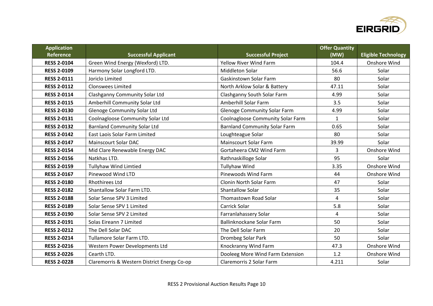

| <b>Application</b> |                                             |                                      | <b>Offer Quantity</b> |                            |
|--------------------|---------------------------------------------|--------------------------------------|-----------------------|----------------------------|
| Reference          | <b>Successful Applicant</b>                 | <b>Successful Project</b>            | (MW)                  | <b>Eligible Technology</b> |
| <b>RESS 2-0104</b> | Green Wind Energy (Wexford) LTD.            | <b>Yellow River Wind Farm</b>        | 104.4                 | Onshore Wind               |
| <b>RESS 2-0109</b> | Harmony Solar Longford LTD.                 | <b>Middleton Solar</b>               | 56.6                  | Solar                      |
| <b>RESS 2-0111</b> | Joriclo Limited                             | Gaskinstown Solar Farm               | 80                    | Solar                      |
| <b>RESS 2-0112</b> | <b>Clonswees Limited</b>                    | North Arklow Solar & Battery         | 47.11                 | Solar                      |
| <b>RESS 2-0114</b> | <b>Clashganny Community Solar Ltd</b>       | Clashganny South Solar Farm          | 4.99                  | Solar                      |
| <b>RESS 2-0115</b> | Amberhill Community Solar Ltd               | Amberhill Solar Farm                 | 3.5                   | Solar                      |
| <b>RESS 2-0130</b> | <b>Glenoge Community Solar Ltd</b>          | <b>Glenoge Community Solar Farm</b>  | 4.99                  | Solar                      |
| <b>RESS 2-0131</b> | Coolnagloose Community Solar Ltd            | Coolnagloose Community Solar Farm    | $\mathbf{1}$          | Solar                      |
| <b>RESS 2-0132</b> | <b>Barnland Community Solar Ltd</b>         | <b>Barnland Community Solar Farm</b> | 0.65                  | Solar                      |
| <b>RESS 2-0142</b> | East Laois Solar Farm Limited               | Loughteague Solar                    | 80                    | Solar                      |
| <b>RESS 2-0147</b> | <b>Mainscourt Solar DAC</b>                 | <b>Mainscourt Solar Farm</b>         | 39.99                 | Solar                      |
| <b>RESS 2-0154</b> | Mid Clare Renewable Energy DAC              | Gortaheera CM2 Wind Farm             | 3                     | Onshore Wind               |
| <b>RESS 2-0156</b> | Natkhas LTD.                                | Rathnaskilloge Solar                 | 95                    | Solar                      |
| <b>RESS 2-0159</b> | <b>Tullyhaw Wind Limtied</b>                | <b>Tullyhaw Wind</b>                 | 3.35                  | Onshore Wind               |
| <b>RESS 2-0167</b> | Pinewood Wind LTD                           | Pinewoods Wind Farm                  | 44                    | Onshore Wind               |
| <b>RESS 2-0180</b> | <b>Rhothirees Ltd</b>                       | Clonin North Solar Farm              | 47                    | Solar                      |
| <b>RESS 2-0182</b> | Shantallow Solar Farm LTD.                  | Shantallow Solar                     | 35                    | Solar                      |
| <b>RESS 2-0188</b> | Solar Sense SPV 3 Limited                   | Thomastown Road Solar                | $\overline{4}$        | Solar                      |
| <b>RESS 2-0189</b> | Solar Sense SPV 1 Limited                   | Carrick Solar                        | 5.8                   | Solar                      |
| <b>RESS 2-0190</b> | Solar Sense SPV 2 Limited                   | Farranlahassery Solar                | $\overline{4}$        | Solar                      |
| <b>RESS 2-0191</b> | Solas Eireann 7 Limited                     | Ballinknockane Solar Farm            | 50                    | Solar                      |
| <b>RESS 2-0212</b> | The Dell Solar DAC                          | The Dell Solar Farm                  | 20                    | Solar                      |
| <b>RESS 2-0214</b> | Tullamore Solar Farm LTD.                   | Drombeg Solar Park                   | 50                    | Solar                      |
| <b>RESS 2-0216</b> | Western Power Developments Ltd              | Knockranny Wind Farm                 | 47.3                  | Onshore Wind               |
| <b>RESS 2-0226</b> | Cearth LTD.                                 | Dooleeg More Wind Farm Extension     | 1.2                   | Onshore Wind               |
| <b>RESS 2-0228</b> | Claremorris & Western District Energy Co-op | Claremorris 2 Solar Farm             | 4.211                 | Solar                      |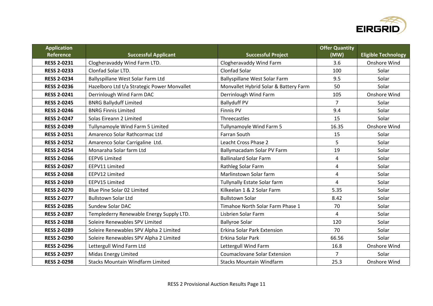

| <b>Application</b> |                                             |                                       | <b>Offer Quantity</b> |                            |
|--------------------|---------------------------------------------|---------------------------------------|-----------------------|----------------------------|
| Reference          | <b>Successful Applicant</b>                 | <b>Successful Project</b>             | (MW)                  | <b>Eligible Technology</b> |
| <b>RESS 2-0231</b> | Clogheravaddy Wind Farm LTD.                | Clogheravaddy Wind Farm               | 3.6                   | Onshore Wind               |
| <b>RESS 2-0233</b> | <b>Clonfad Solar LTD.</b>                   | <b>Clonfad Solar</b>                  | 100                   | Solar                      |
| <b>RESS 2-0234</b> | Ballyspillane West Solar Farm Ltd           | Ballyspillane West Solar Farm         | 9.5                   | Solar                      |
| <b>RESS 2-0236</b> | Hazelboro Ltd t/a Strategic Power Monvallet | Monvallet Hybrid Solar & Battery Farm | 50                    | Solar                      |
| <b>RESS 2-0241</b> | Derrinlough Wind Farm DAC                   | Derrinlough Wind Farm                 | 105                   | Onshore Wind               |
| <b>RESS 2-0245</b> | <b>BNRG Ballyduff Limited</b>               | <b>Ballyduff PV</b>                   | $\overline{7}$        | Solar                      |
| <b>RESS 2-0246</b> | <b>BNRG Finnis Limited</b>                  | <b>Finnis PV</b>                      | 9.4                   | Solar                      |
| <b>RESS 2-0247</b> | Solas Eireann 2 Limited                     | Threecastles                          | 15                    | Solar                      |
| <b>RESS 2-0249</b> | Tullynamoyle Wind Farm 5 Limited            | Tullynamoyle Wind Farm 5              | 16.35                 | Onshore Wind               |
| <b>RESS 2-0251</b> | Amarenco Solar Rathcormac Ltd               | <b>Farran South</b>                   | 15                    | Solar                      |
| <b>RESS 2-0252</b> | Amarenco Solar Carrigaline Ltd.             | Leacht Cross Phase 2                  | 5                     | Solar                      |
| <b>RESS 2-0254</b> | Monaraha Solar farm Ltd                     | Ballymacadam Solar PV Farm            | 19                    | Solar                      |
| <b>RESS 2-0266</b> | <b>EEPV6 Limited</b>                        | <b>Ballinalard Solar Farm</b>         | 4                     | Solar                      |
| <b>RESS 2-0267</b> | EEPV11 Limited                              | Rathleg Solar Farm                    | 4                     | Solar                      |
| <b>RESS 2-0268</b> | EEPV12 Limited                              | Marlinstown Solar farm                | 4                     | Solar                      |
| <b>RESS 2-0269</b> | EEPV15 Limited                              | Tullynally Estate Solar farm          | 4                     | Solar                      |
| <b>RESS 2-0270</b> | Blue Pine Solar 02 Limited                  | Kilkeelan 1 & 2 Solar Farm            | 5.35                  | Solar                      |
| <b>RESS 2-0277</b> | <b>Bullstown Solar Ltd</b>                  | <b>Bullstown Solar</b>                | 8.42                  | Solar                      |
| <b>RESS 2-0285</b> | <b>Sundew Solar DAC</b>                     | Timahoe North Solar Farm Phase 1      | 70                    | Solar                      |
| <b>RESS 2-0287</b> | Templederry Renewable Energy Supply LTD.    | Lisbrien Solar Farm                   | 4                     | Solar                      |
| <b>RESS 2-0288</b> | Soleire Renewables SPV Limited              | <b>Ballyroe Solar</b>                 | 120                   | Solar                      |
| <b>RESS 2-0289</b> | Soleire Renewables SPV Alpha 2 Limited      | Erkina Solar Park Extension           | 70                    | Solar                      |
| <b>RESS 2-0290</b> | Soleire Renewables SPV Alpha 2 Limited      | Erkina Solar Park                     | 66.56                 | Solar                      |
| <b>RESS 2-0296</b> | Lettergull Wind Farm Ltd                    | Lettergull Wind Farm                  | 16.8                  | Onshore Wind               |
| <b>RESS 2-0297</b> | <b>Midas Energy Limited</b>                 | <b>Coumaclovane Solar Extension</b>   | 7                     | Solar                      |
| <b>RESS 2-0298</b> | <b>Stacks Mountain Windfarm Limited</b>     | <b>Stacks Mountain Windfarm</b>       | 25.3                  | Onshore Wind               |